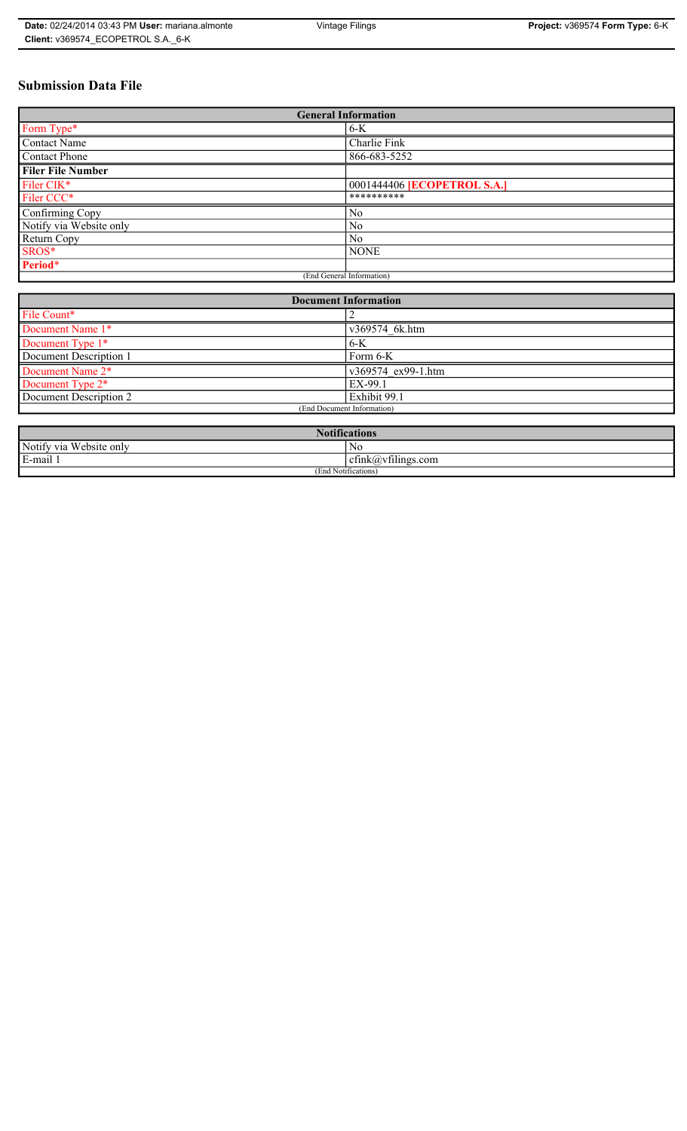# **Submission Data File**

| <b>General Information</b> |                                    |
|----------------------------|------------------------------------|
| Form Type*                 | $6-K$                              |
| <b>Contact Name</b>        | Charlie Fink                       |
| Contact Phone              | 866-683-5252                       |
| <b>Filer File Number</b>   |                                    |
| Filer CIK*                 | 0001444406 <b>[ECOPETROL S.A.]</b> |
| Filer CCC*                 | **********                         |
| Confirming Copy            | No                                 |
| Notify via Website only    | N <sub>0</sub>                     |
| Return Copy                | N <sub>0</sub>                     |
| SROS*                      | <b>NONE</b>                        |
| Period*                    |                                    |
| (End General Information)  |                                    |

| <b>Document Information</b> |                    |
|-----------------------------|--------------------|
| File Count*                 |                    |
| Document Name 1*            | v369574 6k.htm     |
| Document Type 1*            | $6-K$              |
| Document Description 1      | Form 6-K           |
| Document Name 2*            | v369574 ex99-1.htm |
| Document Type 2*            | EX-99.1            |
| Document Description 2      | Exhibit 99.1       |
| (End Document Information)  |                    |
|                             |                    |

| 1: C<br>tications                        |                                                                 |  |
|------------------------------------------|-----------------------------------------------------------------|--|
| <b>TTT</b><br>Notify via<br>Website only | N0                                                              |  |
| E-mail 1                                 | $\sim$ $\cdot$<br>$\tilde{\phantom{a}}$<br>ctink(a)vtilings.com |  |
| (End Notifications)                      |                                                                 |  |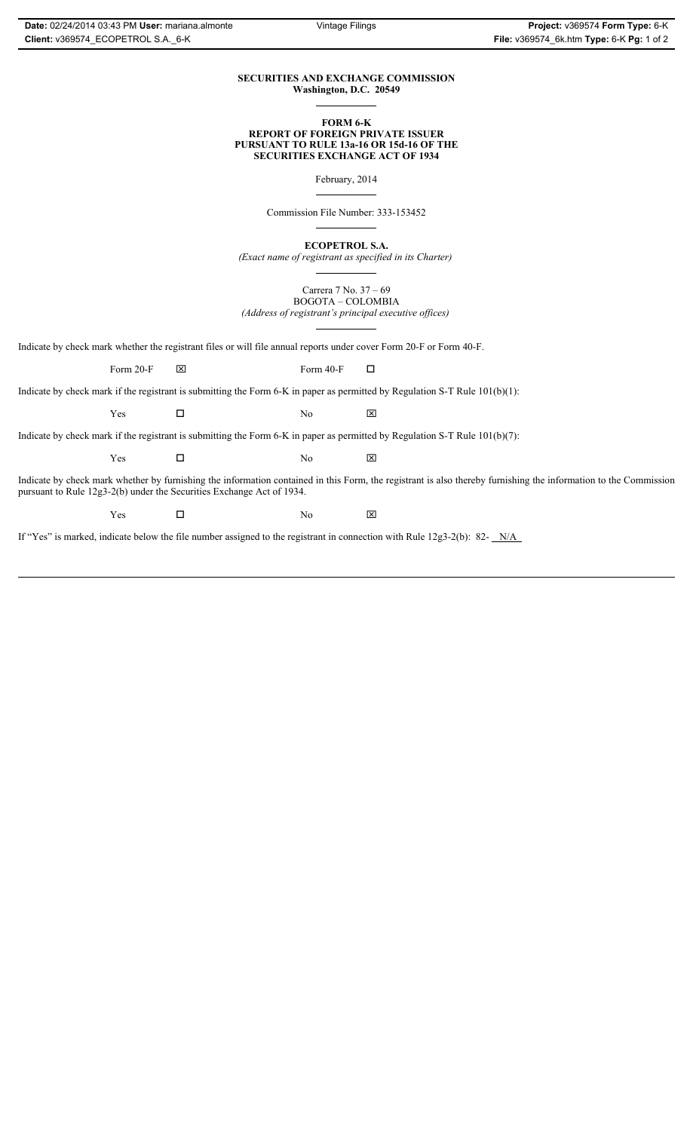### **SECURITIES AND EXCHANGE COMMISSION Washington, D.C. 20549**

### **FORM 6-K REPORT OF FOREIGN PRIVATE ISSUER PURSUANT TO RULE 13a-16 OR 15d-16 OF THE SECURITIES EXCHANGE ACT OF 1934**

February, 2014

Commission File Number: 333-153452

**ECOPETROL S.A.**

*(Exact name of registrant as specified in its Charter)*

Carrera 7 No. 37 – 69 BOGOTA – COLOMBIA *(Address of registrant's principal executive offices)*

Indicate by check mark whether the registrant files or will file annual reports under cover Form 20-F or Form 40-F.

Form 20-F  $\boxtimes$  Form 40-F  $\Box$ 

Indicate by check mark if the registrant is submitting the Form 6-K in paper as permitted by Regulation S-T Rule 101(b)(1):

 $Yes$   $\Box$  No  $X$ 

Indicate by check mark if the registrant is submitting the Form 6-K in paper as permitted by Regulation S-T Rule 101(b)(7):

 $Yes$   $\Box$  No  $X$ 

Indicate by check mark whether by furnishing the information contained in this Form, the registrant is also thereby furnishing the information to the Commission pursuant to Rule 12g3-2(b) under the Securities Exchange Act of 1934.

 $Yes$   $\Box$  No  $X$ 

If "Yes" is marked, indicate below the file number assigned to the registrant in connection with Rule 12g3-2(b): 82- N/A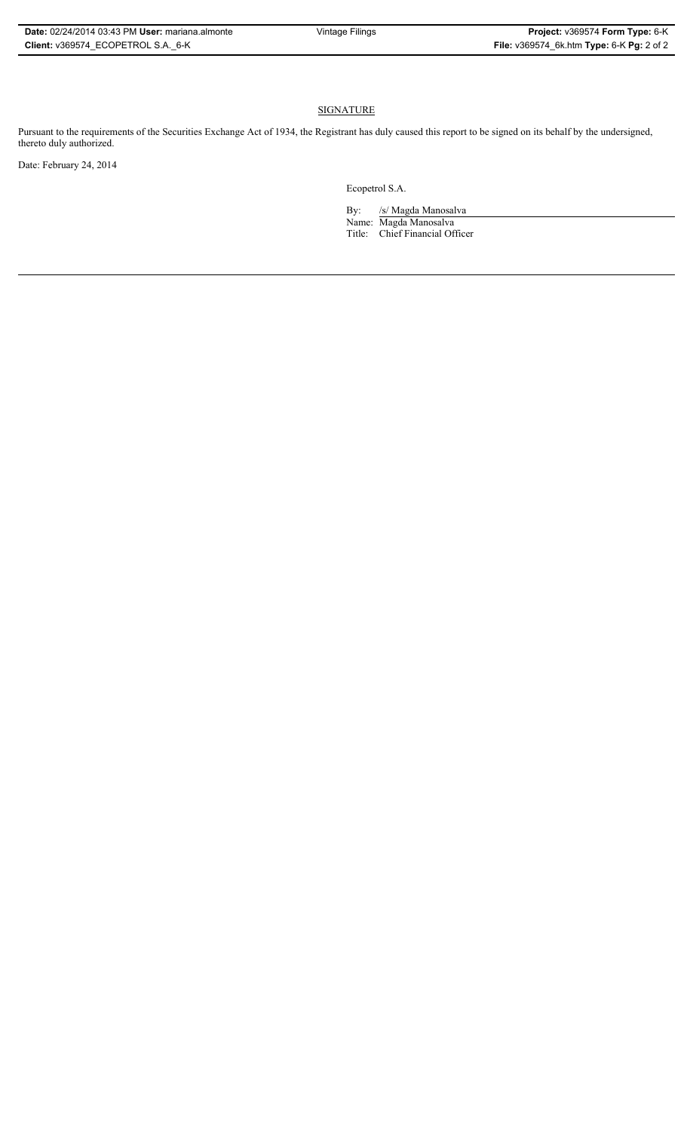# **SIGNATURE**

Pursuant to the requirements of the Securities Exchange Act of 1934, the Registrant has duly caused this report to be signed on its behalf by the undersigned, thereto duly authorized.

Date: February 24, 2014

Ecopetrol S.A.

By: /s/ Magda Manosalva Name: Magda Manosalva Title: Chief Financial Officer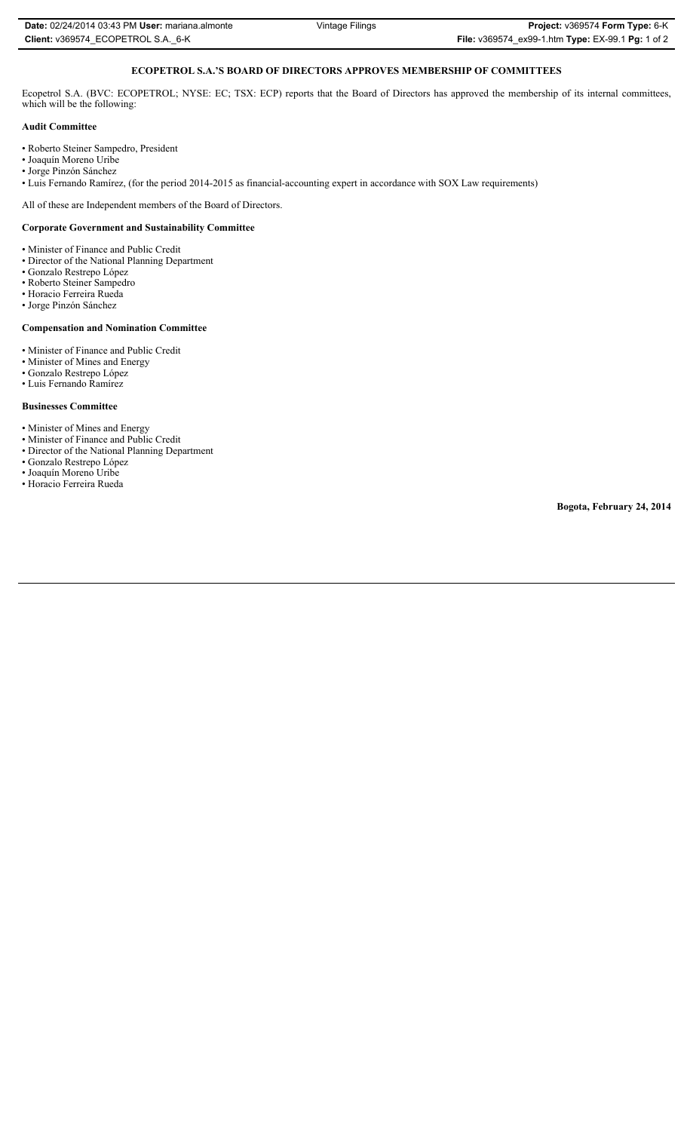# **ECOPETROL S.A.'S BOARD OF DIRECTORS APPROVES MEMBERSHIP OF COMMITTEES**

Ecopetrol S.A. (BVC: ECOPETROL; NYSE: EC; TSX: ECP) reports that the Board of Directors has approved the membership of its internal committees, which will be the following:

### **Audit Committee**

- Roberto Steiner Sampedro, President
- Joaquín Moreno Uribe
- Jorge Pinzón Sánchez
- Luis Fernando Ramírez, (for the period 2014-2015 as financial-accounting expert in accordance with SOX Law requirements)

All of these are Independent members of the Board of Directors.

### **Corporate Government and Sustainability Committee**

- Minister of Finance and Public Credit
- Director of the National Planning Department
- Gonzalo Restrepo López
- Roberto Steiner Sampedro
- Horacio Ferreira Rueda
- Jorge Pinzón Sánchez

# **Compensation and Nomination Committee**

- Minister of Finance and Public Credit
- Minister of Mines and Energy
- Gonzalo Restrepo López
- Luis Fernando Ramírez

#### **Businesses Committee**

- Minister of Mines and Energy
- Minister of Finance and Public Credit
- Director of the National Planning Department
- Gonzalo Restrepo López
- Joaquín Moreno Uribe • Horacio Ferreira Rueda

**Bogota, February 24, 2014**